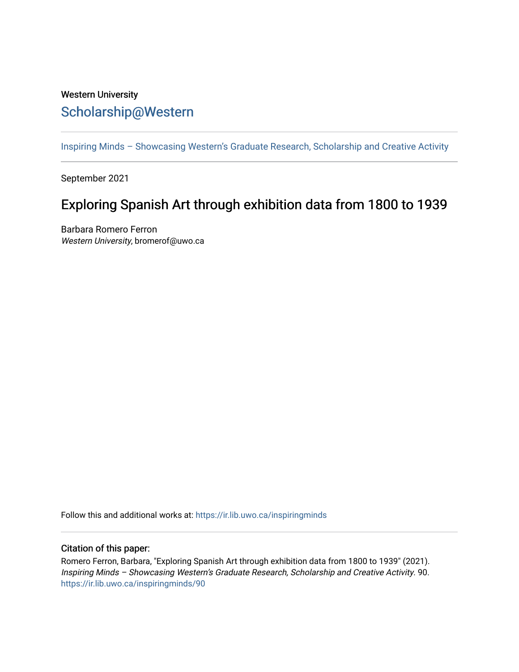## Western University [Scholarship@Western](https://ir.lib.uwo.ca/)

[Inspiring Minds – Showcasing Western's Graduate Research, Scholarship and Creative Activity](https://ir.lib.uwo.ca/inspiringminds) 

September 2021

## Exploring Spanish Art through exhibition data from 1800 to 1939

Barbara Romero Ferron Western University, bromerof@uwo.ca

Follow this and additional works at: [https://ir.lib.uwo.ca/inspiringminds](https://ir.lib.uwo.ca/inspiringminds?utm_source=ir.lib.uwo.ca%2Finspiringminds%2F90&utm_medium=PDF&utm_campaign=PDFCoverPages) 

## Citation of this paper:

Romero Ferron, Barbara, "Exploring Spanish Art through exhibition data from 1800 to 1939" (2021). Inspiring Minds – Showcasing Western's Graduate Research, Scholarship and Creative Activity. 90. [https://ir.lib.uwo.ca/inspiringminds/90](https://ir.lib.uwo.ca/inspiringminds/90?utm_source=ir.lib.uwo.ca%2Finspiringminds%2F90&utm_medium=PDF&utm_campaign=PDFCoverPages)